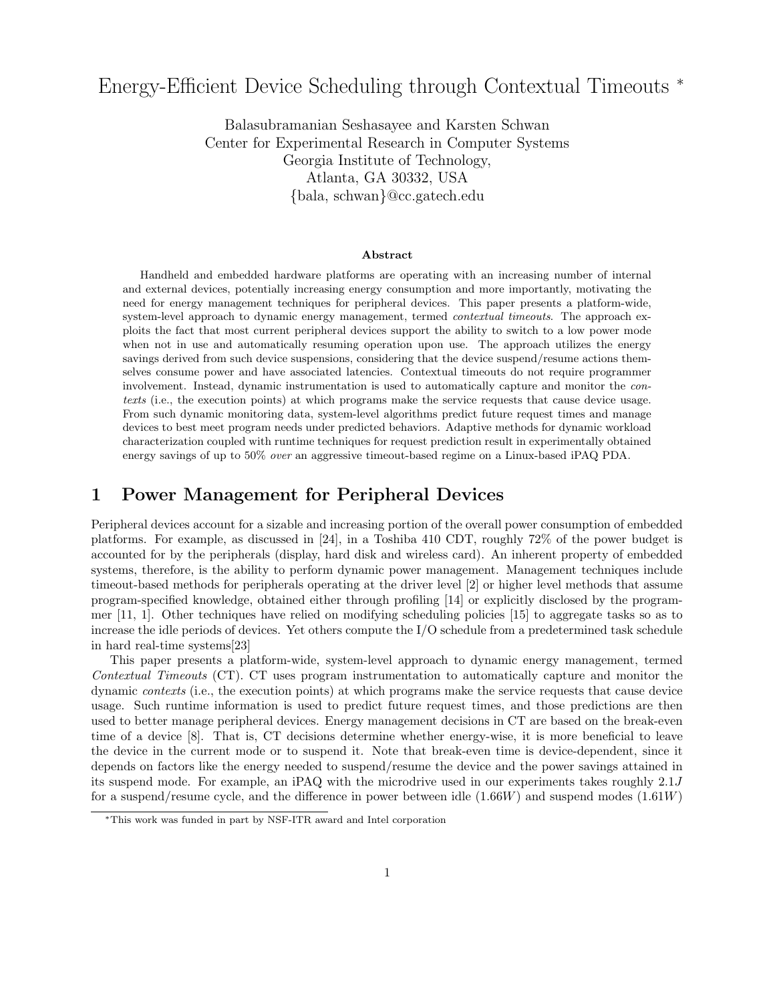# Energy-Efficient Device Scheduling through Contextual Timeouts <sup>∗</sup>

Balasubramanian Seshasayee and Karsten Schwan Center for Experimental Research in Computer Systems Georgia Institute of Technology, Atlanta, GA 30332, USA {bala, schwan}@cc.gatech.edu

#### Abstract

Handheld and embedded hardware platforms are operating with an increasing number of internal and external devices, potentially increasing energy consumption and more importantly, motivating the need for energy management techniques for peripheral devices. This paper presents a platform-wide, system-level approach to dynamic energy management, termed *contextual timeouts*. The approach exploits the fact that most current peripheral devices support the ability to switch to a low power mode when not in use and automatically resuming operation upon use. The approach utilizes the energy savings derived from such device suspensions, considering that the device suspend/resume actions themselves consume power and have associated latencies. Contextual timeouts do not require programmer involvement. Instead, dynamic instrumentation is used to automatically capture and monitor the contexts (i.e., the execution points) at which programs make the service requests that cause device usage. From such dynamic monitoring data, system-level algorithms predict future request times and manage devices to best meet program needs under predicted behaviors. Adaptive methods for dynamic workload characterization coupled with runtime techniques for request prediction result in experimentally obtained energy savings of up to 50% over an aggressive timeout-based regime on a Linux-based iPAQ PDA.

### 1 Power Management for Peripheral Devices

Peripheral devices account for a sizable and increasing portion of the overall power consumption of embedded platforms. For example, as discussed in [24], in a Toshiba 410 CDT, roughly 72% of the power budget is accounted for by the peripherals (display, hard disk and wireless card). An inherent property of embedded systems, therefore, is the ability to perform dynamic power management. Management techniques include timeout-based methods for peripherals operating at the driver level [2] or higher level methods that assume program-specified knowledge, obtained either through profiling [14] or explicitly disclosed by the programmer [11, 1]. Other techniques have relied on modifying scheduling policies [15] to aggregate tasks so as to increase the idle periods of devices. Yet others compute the I/O schedule from a predetermined task schedule in hard real-time systems[23]

This paper presents a platform-wide, system-level approach to dynamic energy management, termed Contextual Timeouts (CT). CT uses program instrumentation to automatically capture and monitor the dynamic contexts (i.e., the execution points) at which programs make the service requests that cause device usage. Such runtime information is used to predict future request times, and those predictions are then used to better manage peripheral devices. Energy management decisions in CT are based on the break-even time of a device [8]. That is, CT decisions determine whether energy-wise, it is more beneficial to leave the device in the current mode or to suspend it. Note that break-even time is device-dependent, since it depends on factors like the energy needed to suspend/resume the device and the power savings attained in its suspend mode. For example, an iPAQ with the microdrive used in our experiments takes roughly 2.1J for a suspend/resume cycle, and the difference in power between idle (1.66W) and suspend modes (1.61W)

<sup>∗</sup>This work was funded in part by NSF-ITR award and Intel corporation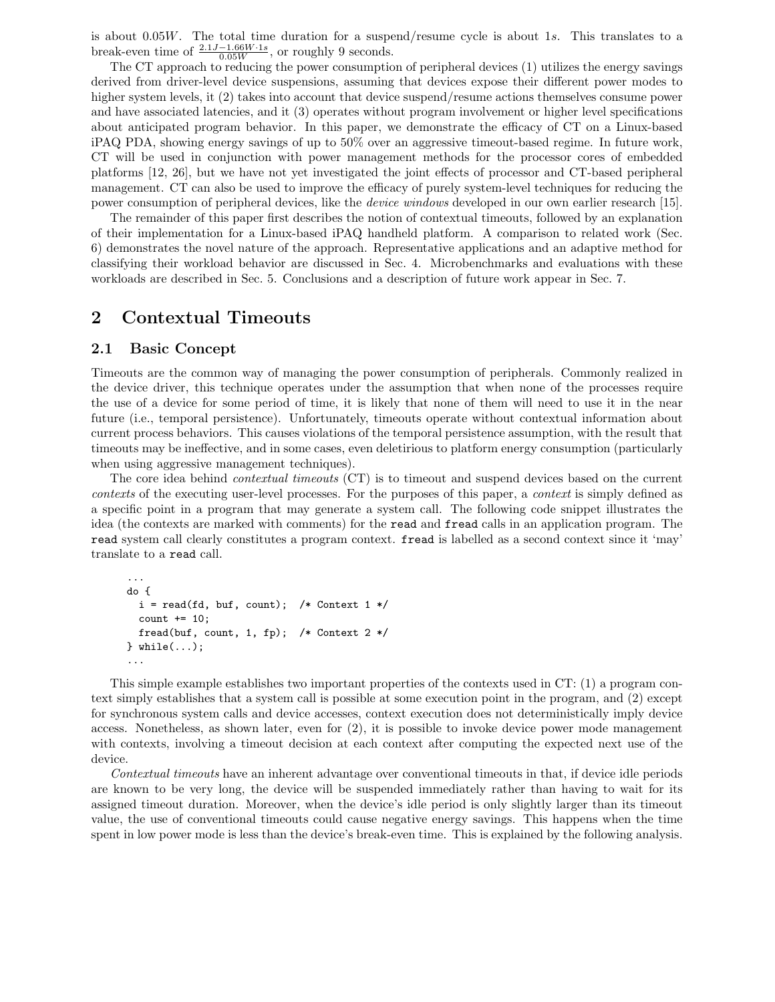is about 0.05W. The total time duration for a suspend/resume cycle is about 1s. This translates to a break-even time of  $\frac{2.1J-1.66W\cdot 1s}{0.05W}$ , or roughly 9 seconds.

The CT approach to reducing the power consumption of peripheral devices (1) utilizes the energy savings derived from driver-level device suspensions, assuming that devices expose their different power modes to higher system levels, it (2) takes into account that device suspend/resume actions themselves consume power and have associated latencies, and it (3) operates without program involvement or higher level specifications about anticipated program behavior. In this paper, we demonstrate the efficacy of CT on a Linux-based iPAQ PDA, showing energy savings of up to 50% over an aggressive timeout-based regime. In future work, CT will be used in conjunction with power management methods for the processor cores of embedded platforms [12, 26], but we have not yet investigated the joint effects of processor and CT-based peripheral management. CT can also be used to improve the efficacy of purely system-level techniques for reducing the power consumption of peripheral devices, like the device windows developed in our own earlier research [15].

The remainder of this paper first describes the notion of contextual timeouts, followed by an explanation of their implementation for a Linux-based iPAQ handheld platform. A comparison to related work (Sec. 6) demonstrates the novel nature of the approach. Representative applications and an adaptive method for classifying their workload behavior are discussed in Sec. 4. Microbenchmarks and evaluations with these workloads are described in Sec. 5. Conclusions and a description of future work appear in Sec. 7.

### 2 Contextual Timeouts

#### 2.1 Basic Concept

Timeouts are the common way of managing the power consumption of peripherals. Commonly realized in the device driver, this technique operates under the assumption that when none of the processes require the use of a device for some period of time, it is likely that none of them will need to use it in the near future (i.e., temporal persistence). Unfortunately, timeouts operate without contextual information about current process behaviors. This causes violations of the temporal persistence assumption, with the result that timeouts may be ineffective, and in some cases, even deletirious to platform energy consumption (particularly when using aggressive management techniques).

The core idea behind contextual timeouts (CT) is to timeout and suspend devices based on the current contexts of the executing user-level processes. For the purposes of this paper, a context is simply defined as a specific point in a program that may generate a system call. The following code snippet illustrates the idea (the contexts are marked with comments) for the read and fread calls in an application program. The read system call clearly constitutes a program context. fread is labelled as a second context since it 'may' translate to a read call.

```
...
do {
  i = read(fd, but, count); /* Context 1 */
  count += 10;
  fread(buf, count, 1, fp); /* Context 2*/} while(...);
...
```
This simple example establishes two important properties of the contexts used in CT: (1) a program context simply establishes that a system call is possible at some execution point in the program, and (2) except for synchronous system calls and device accesses, context execution does not deterministically imply device access. Nonetheless, as shown later, even for (2), it is possible to invoke device power mode management with contexts, involving a timeout decision at each context after computing the expected next use of the device.

Contextual timeouts have an inherent advantage over conventional timeouts in that, if device idle periods are known to be very long, the device will be suspended immediately rather than having to wait for its assigned timeout duration. Moreover, when the device's idle period is only slightly larger than its timeout value, the use of conventional timeouts could cause negative energy savings. This happens when the time spent in low power mode is less than the device's break-even time. This is explained by the following analysis.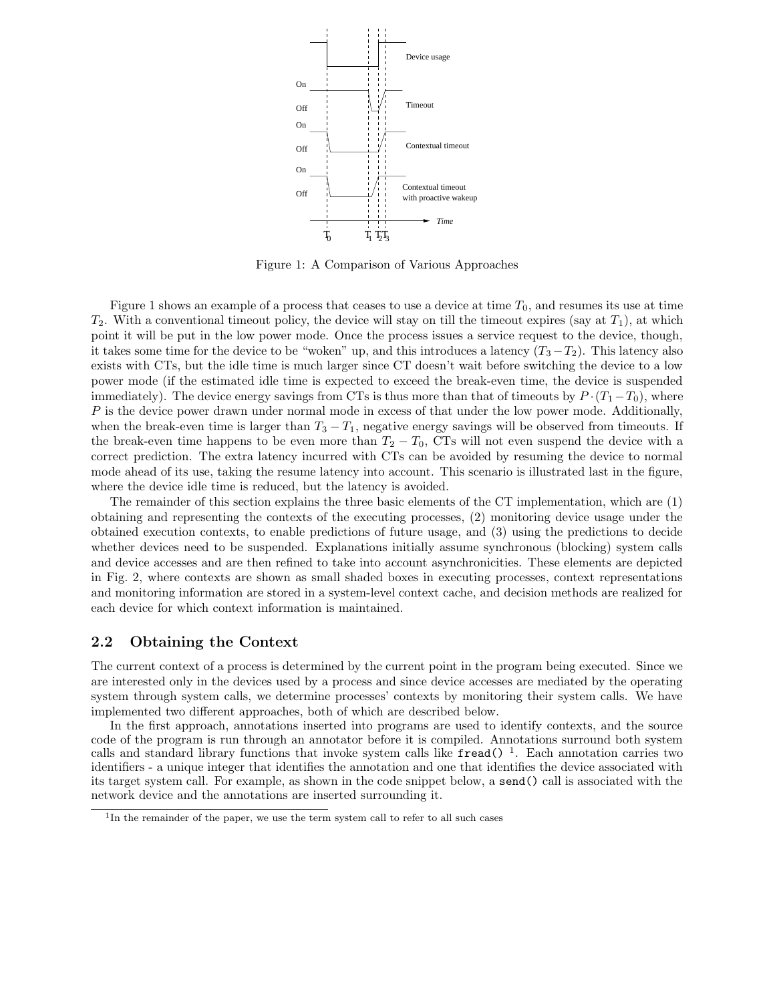

Figure 1: A Comparison of Various Approaches

Figure 1 shows an example of a process that ceases to use a device at time  $T_0$ , and resumes its use at time  $T_2$ . With a conventional timeout policy, the device will stay on till the timeout expires (say at  $T_1$ ), at which point it will be put in the low power mode. Once the process issues a service request to the device, though, it takes some time for the device to be "woken" up, and this introduces a latency  $(T_3 - T_2)$ . This latency also exists with CTs, but the idle time is much larger since CT doesn't wait before switching the device to a low power mode (if the estimated idle time is expected to exceed the break-even time, the device is suspended immediately). The device energy savings from CTs is thus more than that of timeouts by  $P \cdot (T_1 - T_0)$ , where P is the device power drawn under normal mode in excess of that under the low power mode. Additionally, when the break-even time is larger than  $T_3 - T_1$ , negative energy savings will be observed from timeouts. If the break-even time happens to be even more than  $T_2 - T_0$ , CTs will not even suspend the device with a correct prediction. The extra latency incurred with CTs can be avoided by resuming the device to normal mode ahead of its use, taking the resume latency into account. This scenario is illustrated last in the figure, where the device idle time is reduced, but the latency is avoided.

The remainder of this section explains the three basic elements of the CT implementation, which are (1) obtaining and representing the contexts of the executing processes, (2) monitoring device usage under the obtained execution contexts, to enable predictions of future usage, and (3) using the predictions to decide whether devices need to be suspended. Explanations initially assume synchronous (blocking) system calls and device accesses and are then refined to take into account asynchronicities. These elements are depicted in Fig. 2, where contexts are shown as small shaded boxes in executing processes, context representations and monitoring information are stored in a system-level context cache, and decision methods are realized for each device for which context information is maintained.

#### 2.2 Obtaining the Context

The current context of a process is determined by the current point in the program being executed. Since we are interested only in the devices used by a process and since device accesses are mediated by the operating system through system calls, we determine processes' contexts by monitoring their system calls. We have implemented two different approaches, both of which are described below.

In the first approach, annotations inserted into programs are used to identify contexts, and the source code of the program is run through an annotator before it is compiled. Annotations surround both system calls and standard library functions that invoke system calls like fread()<sup>1</sup>. Each annotation carries two identifiers - a unique integer that identifies the annotation and one that identifies the device associated with its target system call. For example, as shown in the code snippet below, a send() call is associated with the network device and the annotations are inserted surrounding it.

<sup>&</sup>lt;sup>1</sup>In the remainder of the paper, we use the term system call to refer to all such cases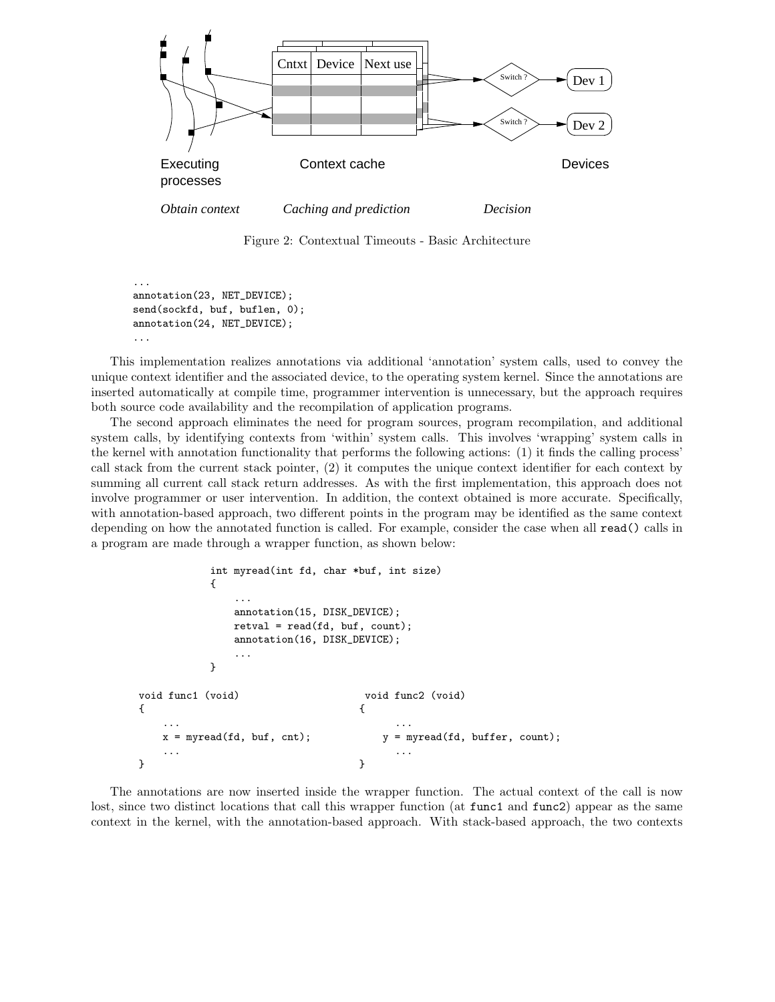

Figure 2: Contextual Timeouts - Basic Architecture

... annotation(23, NET\_DEVICE); send(sockfd, buf, buflen, 0); annotation(24, NET\_DEVICE); ...

This implementation realizes annotations via additional 'annotation' system calls, used to convey the unique context identifier and the associated device, to the operating system kernel. Since the annotations are inserted automatically at compile time, programmer intervention is unnecessary, but the approach requires both source code availability and the recompilation of application programs.

The second approach eliminates the need for program sources, program recompilation, and additional system calls, by identifying contexts from 'within' system calls. This involves 'wrapping' system calls in the kernel with annotation functionality that performs the following actions: (1) it finds the calling process' call stack from the current stack pointer, (2) it computes the unique context identifier for each context by summing all current call stack return addresses. As with the first implementation, this approach does not involve programmer or user intervention. In addition, the context obtained is more accurate. Specifically, with annotation-based approach, two different points in the program may be identified as the same context depending on how the annotated function is called. For example, consider the case when all read() calls in a program are made through a wrapper function, as shown below:

```
int myread(int fd, char *buf, int size)
       {
         ...
         annotation(15, DISK_DEVICE);
         retval = read(fd, but, count);annotation(16, DISK_DEVICE);
         ...
       }
void func1 (void) void func2 (void)
\{... ...
  x = myread(fd, buf, cnt); y = myread(fd, buffer, count);
  ... ...
} }
```
The annotations are now inserted inside the wrapper function. The actual context of the call is now lost, since two distinct locations that call this wrapper function (at func1 and func2) appear as the same context in the kernel, with the annotation-based approach. With stack-based approach, the two contexts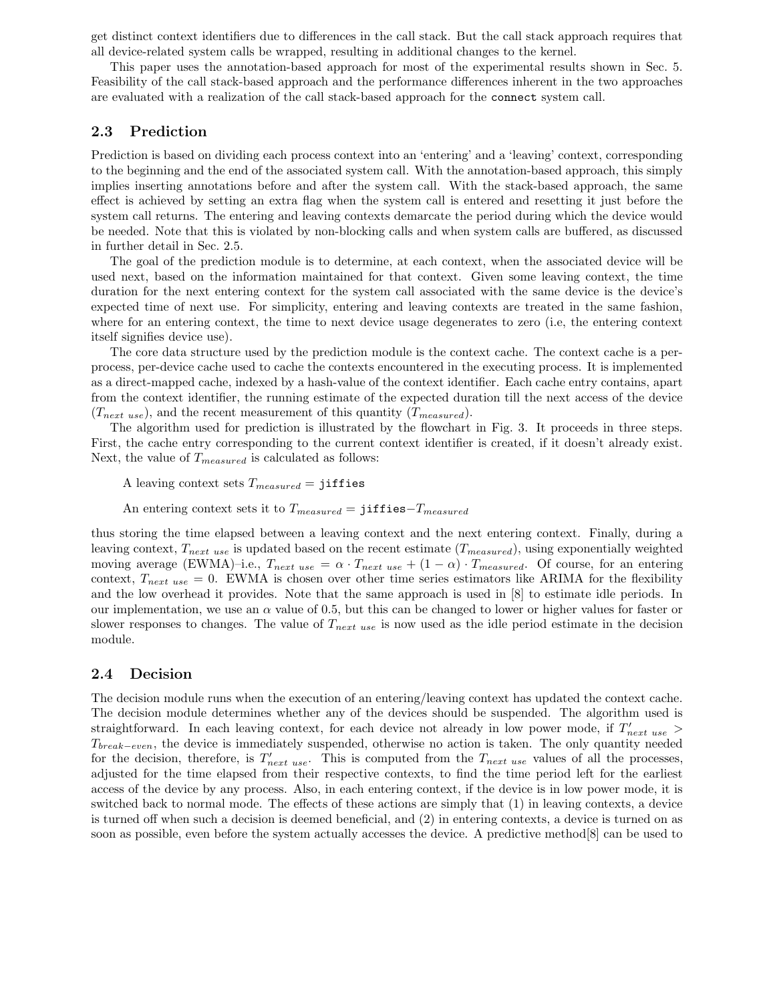get distinct context identifiers due to differences in the call stack. But the call stack approach requires that all device-related system calls be wrapped, resulting in additional changes to the kernel.

This paper uses the annotation-based approach for most of the experimental results shown in Sec. 5. Feasibility of the call stack-based approach and the performance differences inherent in the two approaches are evaluated with a realization of the call stack-based approach for the connect system call.

#### 2.3 Prediction

Prediction is based on dividing each process context into an 'entering' and a 'leaving' context, corresponding to the beginning and the end of the associated system call. With the annotation-based approach, this simply implies inserting annotations before and after the system call. With the stack-based approach, the same effect is achieved by setting an extra flag when the system call is entered and resetting it just before the system call returns. The entering and leaving contexts demarcate the period during which the device would be needed. Note that this is violated by non-blocking calls and when system calls are buffered, as discussed in further detail in Sec. 2.5.

The goal of the prediction module is to determine, at each context, when the associated device will be used next, based on the information maintained for that context. Given some leaving context, the time duration for the next entering context for the system call associated with the same device is the device's expected time of next use. For simplicity, entering and leaving contexts are treated in the same fashion, where for an entering context, the time to next device usage degenerates to zero (i.e, the entering context itself signifies device use).

The core data structure used by the prediction module is the context cache. The context cache is a perprocess, per-device cache used to cache the contexts encountered in the executing process. It is implemented as a direct-mapped cache, indexed by a hash-value of the context identifier. Each cache entry contains, apart from the context identifier, the running estimate of the expected duration till the next access of the device  $(T_{next\ use})$ , and the recent measurement of this quantity  $(T_{measured})$ .

The algorithm used for prediction is illustrated by the flowchart in Fig. 3. It proceeds in three steps. First, the cache entry corresponding to the current context identifier is created, if it doesn't already exist. Next, the value of  $T_{measured}$  is calculated as follows:

A leaving context sets  $T_{measured} = \text{jiffies}$ 

An entering context sets it to  $T_{measured} =$  jiffies- $T_{measured}$ 

thus storing the time elapsed between a leaving context and the next entering context. Finally, during a leaving context,  $T_{next\ use}$  is updated based on the recent estimate  $(T_{measured})$ , using exponentially weighted moving average (EWMA)–i.e.,  $T_{next use} = \alpha \cdot T_{next use} + (1 - \alpha) \cdot T_{measured}$ . Of course, for an entering context,  $T_{next use} = 0$ . EWMA is chosen over other time series estimators like ARIMA for the flexibility and the low overhead it provides. Note that the same approach is used in [8] to estimate idle periods. In our implementation, we use an  $\alpha$  value of 0.5, but this can be changed to lower or higher values for faster or slower responses to changes. The value of  $T_{next use}$  is now used as the idle period estimate in the decision module.

#### 2.4 Decision

The decision module runs when the execution of an entering/leaving context has updated the context cache. The decision module determines whether any of the devices should be suspended. The algorithm used is straightforward. In each leaving context, for each device not already in low power mode, if  $T'_{next use}$  $T_{break-even}$ , the device is immediately suspended, otherwise no action is taken. The only quantity needed for the decision, therefore, is  $T'_{next use}$ . This is computed from the  $T_{next use}$  values of all the processes, adjusted for the time elapsed from their respective contexts, to find the time period left for the earliest access of the device by any process. Also, in each entering context, if the device is in low power mode, it is switched back to normal mode. The effects of these actions are simply that (1) in leaving contexts, a device is turned off when such a decision is deemed beneficial, and (2) in entering contexts, a device is turned on as soon as possible, even before the system actually accesses the device. A predictive method[8] can be used to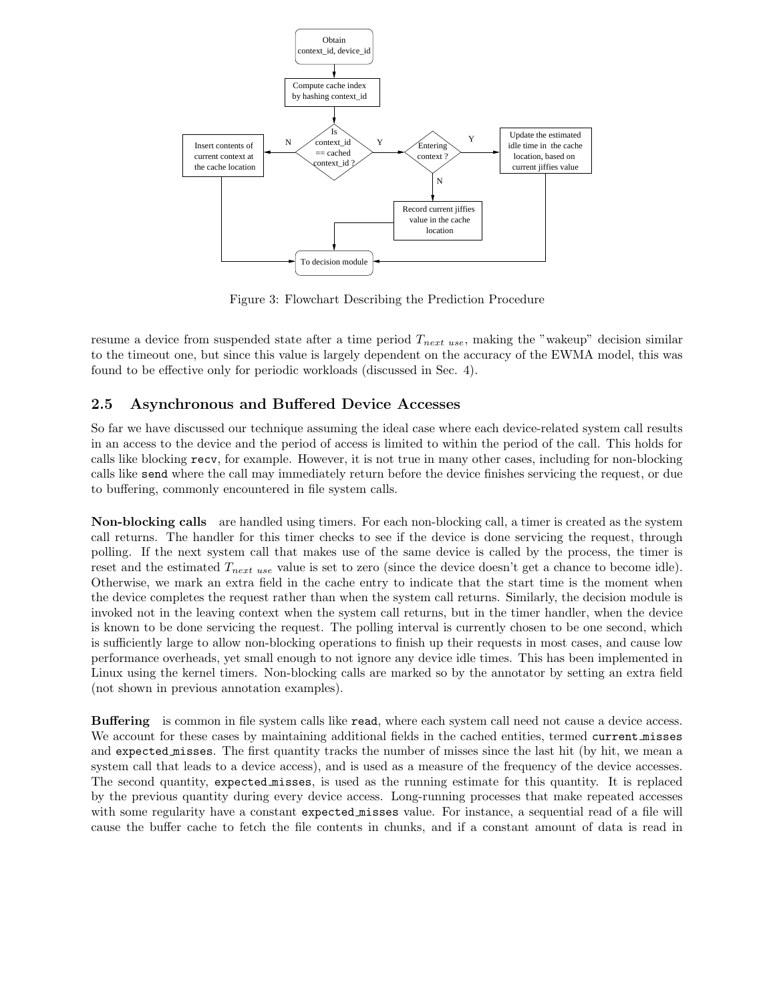

Figure 3: Flowchart Describing the Prediction Procedure

resume a device from suspended state after a time period  $T_{next use}$ , making the "wakeup" decision similar to the timeout one, but since this value is largely dependent on the accuracy of the EWMA model, this was found to be effective only for periodic workloads (discussed in Sec. 4).

### 2.5 Asynchronous and Buffered Device Accesses

So far we have discussed our technique assuming the ideal case where each device-related system call results in an access to the device and the period of access is limited to within the period of the call. This holds for calls like blocking recv, for example. However, it is not true in many other cases, including for non-blocking calls like send where the call may immediately return before the device finishes servicing the request, or due to buffering, commonly encountered in file system calls.

Non-blocking calls are handled using timers. For each non-blocking call, a timer is created as the system call returns. The handler for this timer checks to see if the device is done servicing the request, through polling. If the next system call that makes use of the same device is called by the process, the timer is reset and the estimated  $T_{next use}$  value is set to zero (since the device doesn't get a chance to become idle). Otherwise, we mark an extra field in the cache entry to indicate that the start time is the moment when the device completes the request rather than when the system call returns. Similarly, the decision module is invoked not in the leaving context when the system call returns, but in the timer handler, when the device is known to be done servicing the request. The polling interval is currently chosen to be one second, which is sufficiently large to allow non-blocking operations to finish up their requests in most cases, and cause low performance overheads, yet small enough to not ignore any device idle times. This has been implemented in Linux using the kernel timers. Non-blocking calls are marked so by the annotator by setting an extra field (not shown in previous annotation examples).

Buffering is common in file system calls like read, where each system call need not cause a device access. We account for these cases by maintaining additional fields in the cached entities, termed current misses and expected misses. The first quantity tracks the number of misses since the last hit (by hit, we mean a system call that leads to a device access), and is used as a measure of the frequency of the device accesses. The second quantity, expected misses, is used as the running estimate for this quantity. It is replaced by the previous quantity during every device access. Long-running processes that make repeated accesses with some regularity have a constant expected misses value. For instance, a sequential read of a file will cause the buffer cache to fetch the file contents in chunks, and if a constant amount of data is read in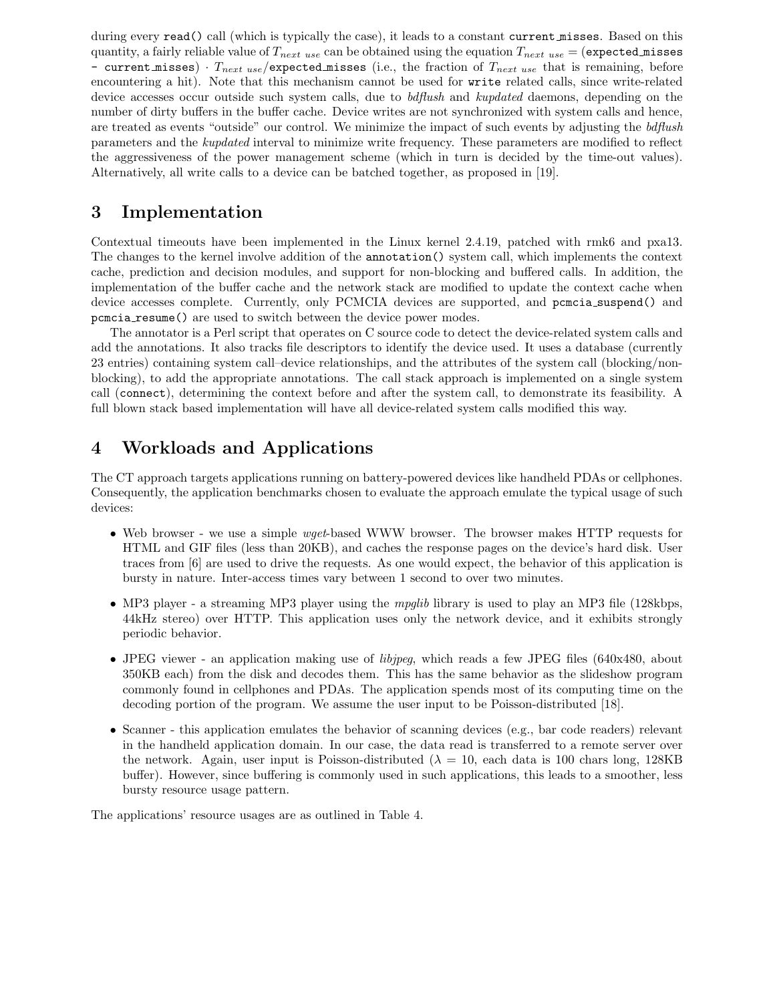during every read() call (which is typically the case), it leads to a constant current misses. Based on this quantity, a fairly reliable value of  $T_{next use}$  can be obtained using the equation  $T_{next use} = (expected\_misses$ - current misses)  $\cdot$   $T_{next \ use}/{\text{expected}$  misses (i.e., the fraction of  $T_{next \ use}$  that is remaining, before encountering a hit). Note that this mechanism cannot be used for write related calls, since write-related device accesses occur outside such system calls, due to *bdflush* and *kupdated* daemons, depending on the number of dirty buffers in the buffer cache. Device writes are not synchronized with system calls and hence, are treated as events "outside" our control. We minimize the impact of such events by adjusting the bdflush parameters and the kupdated interval to minimize write frequency. These parameters are modified to reflect the aggressiveness of the power management scheme (which in turn is decided by the time-out values). Alternatively, all write calls to a device can be batched together, as proposed in [19].

## 3 Implementation

Contextual timeouts have been implemented in the Linux kernel 2.4.19, patched with rmk6 and pxa13. The changes to the kernel involve addition of the annotation() system call, which implements the context cache, prediction and decision modules, and support for non-blocking and buffered calls. In addition, the implementation of the buffer cache and the network stack are modified to update the context cache when device accesses complete. Currently, only PCMCIA devices are supported, and pcmcia suspend() and pcmcia resume() are used to switch between the device power modes.

The annotator is a Perl script that operates on C source code to detect the device-related system calls and add the annotations. It also tracks file descriptors to identify the device used. It uses a database (currently 23 entries) containing system call–device relationships, and the attributes of the system call (blocking/nonblocking), to add the appropriate annotations. The call stack approach is implemented on a single system call (connect), determining the context before and after the system call, to demonstrate its feasibility. A full blown stack based implementation will have all device-related system calls modified this way.

## 4 Workloads and Applications

The CT approach targets applications running on battery-powered devices like handheld PDAs or cellphones. Consequently, the application benchmarks chosen to evaluate the approach emulate the typical usage of such devices:

- Web browser we use a simple *wget*-based WWW browser. The browser makes HTTP requests for HTML and GIF files (less than 20KB), and caches the response pages on the device's hard disk. User traces from [6] are used to drive the requests. As one would expect, the behavior of this application is bursty in nature. Inter-access times vary between 1 second to over two minutes.
- MP3 player a streaming MP3 player using the *mpglib* library is used to play an MP3 file (128kbps, 44kHz stereo) over HTTP. This application uses only the network device, and it exhibits strongly periodic behavior.
- JPEG viewer an application making use of *libjpeg*, which reads a few JPEG files (640x480, about 350KB each) from the disk and decodes them. This has the same behavior as the slideshow program commonly found in cellphones and PDAs. The application spends most of its computing time on the decoding portion of the program. We assume the user input to be Poisson-distributed [18].
- Scanner this application emulates the behavior of scanning devices (e.g., bar code readers) relevant in the handheld application domain. In our case, the data read is transferred to a remote server over the network. Again, user input is Poisson-distributed ( $\lambda = 10$ , each data is 100 chars long, 128KB buffer). However, since buffering is commonly used in such applications, this leads to a smoother, less bursty resource usage pattern.

The applications' resource usages are as outlined in Table 4.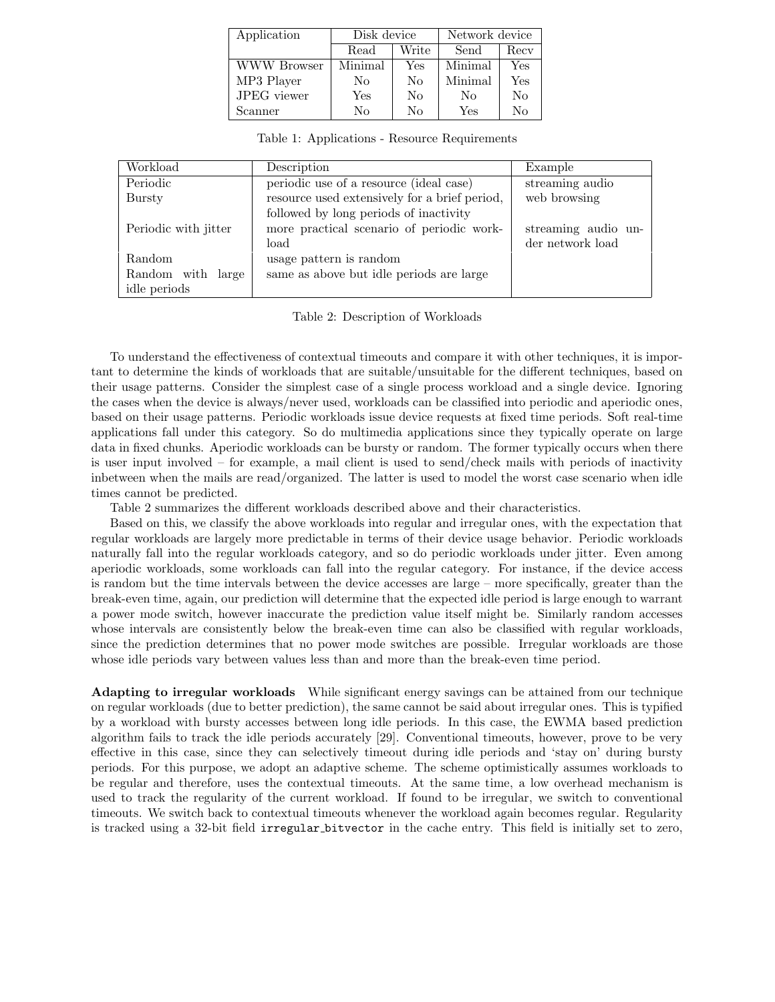| Application | Disk device |       | Network device |      |
|-------------|-------------|-------|----------------|------|
|             | Read        | Write | Send           | Recy |
| WWW Browser | Minimal     | Yes   | Minimal        | Yes  |
| MP3 Player  | No          | No    | Minimal        | Yes  |
| JPEG viewer | Yes         | No    | No             | No   |
| Scanner     | No          | No    | Yes            | No   |

Table 1: Applications - Resource Requirements

| Workload             | Description                                   | Example             |
|----------------------|-----------------------------------------------|---------------------|
| Periodic             | periodic use of a resource (ideal case)       | streaming audio     |
| Bursty               | resource used extensively for a brief period, | web browsing        |
|                      | followed by long periods of inactivity        |                     |
| Periodic with jitter | more practical scenario of periodic work-     | streaming audio un- |
|                      | load                                          | der network load    |
| Random               | usage pattern is random                       |                     |
| Random with<br>large | same as above but idle periods are large      |                     |
| idle periods         |                                               |                     |

Table 2: Description of Workloads

To understand the effectiveness of contextual timeouts and compare it with other techniques, it is important to determine the kinds of workloads that are suitable/unsuitable for the different techniques, based on their usage patterns. Consider the simplest case of a single process workload and a single device. Ignoring the cases when the device is always/never used, workloads can be classified into periodic and aperiodic ones, based on their usage patterns. Periodic workloads issue device requests at fixed time periods. Soft real-time applications fall under this category. So do multimedia applications since they typically operate on large data in fixed chunks. Aperiodic workloads can be bursty or random. The former typically occurs when there is user input involved – for example, a mail client is used to send/check mails with periods of inactivity inbetween when the mails are read/organized. The latter is used to model the worst case scenario when idle times cannot be predicted.

Table 2 summarizes the different workloads described above and their characteristics.

Based on this, we classify the above workloads into regular and irregular ones, with the expectation that regular workloads are largely more predictable in terms of their device usage behavior. Periodic workloads naturally fall into the regular workloads category, and so do periodic workloads under jitter. Even among aperiodic workloads, some workloads can fall into the regular category. For instance, if the device access is random but the time intervals between the device accesses are large – more specifically, greater than the break-even time, again, our prediction will determine that the expected idle period is large enough to warrant a power mode switch, however inaccurate the prediction value itself might be. Similarly random accesses whose intervals are consistently below the break-even time can also be classified with regular workloads, since the prediction determines that no power mode switches are possible. Irregular workloads are those whose idle periods vary between values less than and more than the break-even time period.

Adapting to irregular workloads While significant energy savings can be attained from our technique on regular workloads (due to better prediction), the same cannot be said about irregular ones. This is typified by a workload with bursty accesses between long idle periods. In this case, the EWMA based prediction algorithm fails to track the idle periods accurately [29]. Conventional timeouts, however, prove to be very effective in this case, since they can selectively timeout during idle periods and 'stay on' during bursty periods. For this purpose, we adopt an adaptive scheme. The scheme optimistically assumes workloads to be regular and therefore, uses the contextual timeouts. At the same time, a low overhead mechanism is used to track the regularity of the current workload. If found to be irregular, we switch to conventional timeouts. We switch back to contextual timeouts whenever the workload again becomes regular. Regularity is tracked using a 32-bit field irregular bitvector in the cache entry. This field is initially set to zero,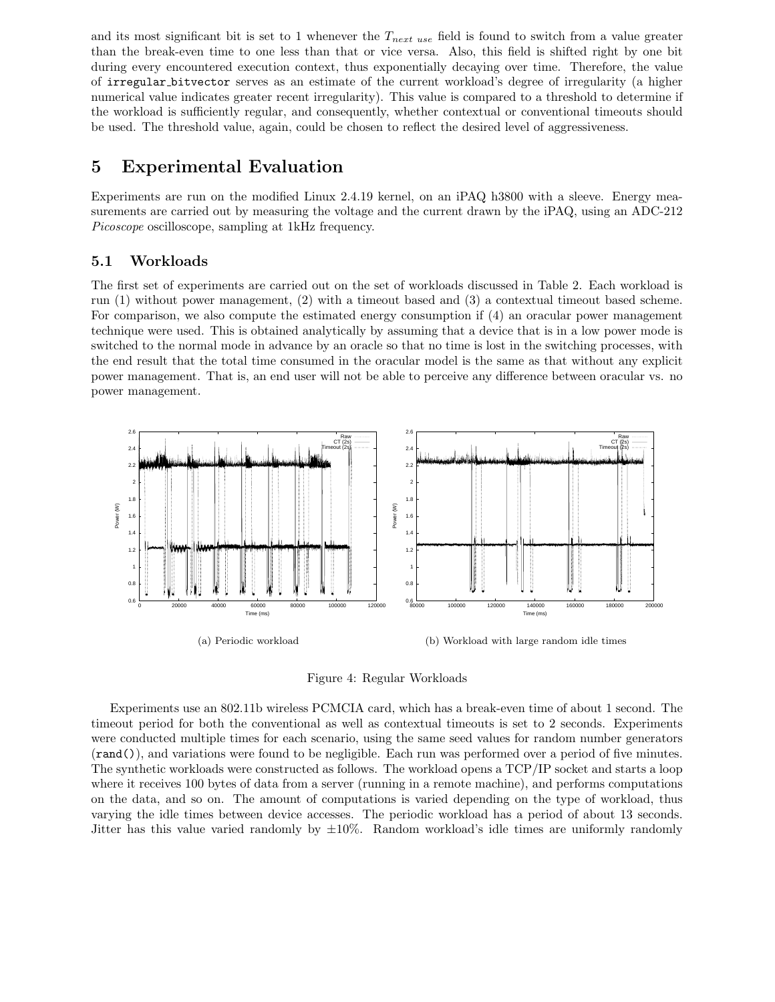and its most significant bit is set to 1 whenever the  $T_{next use}$  field is found to switch from a value greater than the break-even time to one less than that or vice versa. Also, this field is shifted right by one bit during every encountered execution context, thus exponentially decaying over time. Therefore, the value of irregular bitvector serves as an estimate of the current workload's degree of irregularity (a higher numerical value indicates greater recent irregularity). This value is compared to a threshold to determine if the workload is sufficiently regular, and consequently, whether contextual or conventional timeouts should be used. The threshold value, again, could be chosen to reflect the desired level of aggressiveness.

## 5 Experimental Evaluation

Experiments are run on the modified Linux 2.4.19 kernel, on an iPAQ h3800 with a sleeve. Energy measurements are carried out by measuring the voltage and the current drawn by the iPAQ, using an ADC-212 Picoscope oscilloscope, sampling at 1kHz frequency.

### 5.1 Workloads

The first set of experiments are carried out on the set of workloads discussed in Table 2. Each workload is run (1) without power management, (2) with a timeout based and (3) a contextual timeout based scheme. For comparison, we also compute the estimated energy consumption if (4) an oracular power management technique were used. This is obtained analytically by assuming that a device that is in a low power mode is switched to the normal mode in advance by an oracle so that no time is lost in the switching processes, with the end result that the total time consumed in the oracular model is the same as that without any explicit power management. That is, an end user will not be able to perceive any difference between oracular vs. no power management.



Figure 4: Regular Workloads

Experiments use an 802.11b wireless PCMCIA card, which has a break-even time of about 1 second. The timeout period for both the conventional as well as contextual timeouts is set to 2 seconds. Experiments were conducted multiple times for each scenario, using the same seed values for random number generators (rand()), and variations were found to be negligible. Each run was performed over a period of five minutes. The synthetic workloads were constructed as follows. The workload opens a TCP/IP socket and starts a loop where it receives 100 bytes of data from a server (running in a remote machine), and performs computations on the data, and so on. The amount of computations is varied depending on the type of workload, thus varying the idle times between device accesses. The periodic workload has a period of about 13 seconds. Jitter has this value varied randomly by  $\pm 10\%$ . Random workload's idle times are uniformly randomly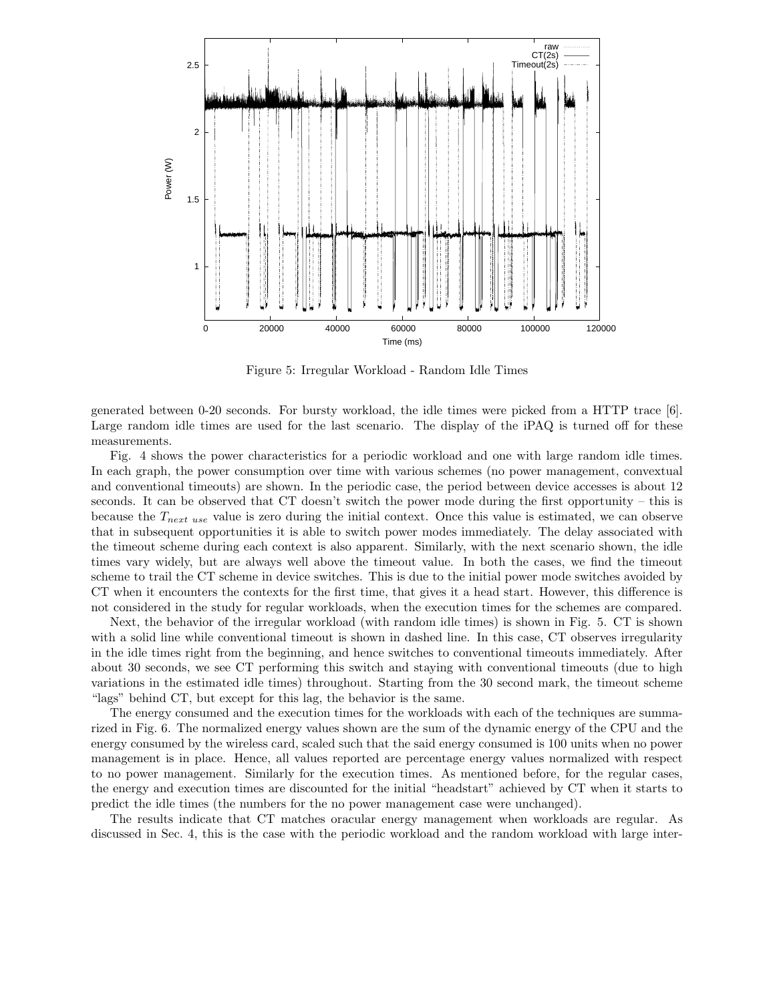

Figure 5: Irregular Workload - Random Idle Times

generated between 0-20 seconds. For bursty workload, the idle times were picked from a HTTP trace [6]. Large random idle times are used for the last scenario. The display of the iPAQ is turned off for these measurements.

Fig. 4 shows the power characteristics for a periodic workload and one with large random idle times. In each graph, the power consumption over time with various schemes (no power management, convextual and conventional timeouts) are shown. In the periodic case, the period between device accesses is about 12 seconds. It can be observed that CT doesn't switch the power mode during the first opportunity – this is because the  $T_{next use}$  value is zero during the initial context. Once this value is estimated, we can observe that in subsequent opportunities it is able to switch power modes immediately. The delay associated with the timeout scheme during each context is also apparent. Similarly, with the next scenario shown, the idle times vary widely, but are always well above the timeout value. In both the cases, we find the timeout scheme to trail the CT scheme in device switches. This is due to the initial power mode switches avoided by CT when it encounters the contexts for the first time, that gives it a head start. However, this difference is not considered in the study for regular workloads, when the execution times for the schemes are compared.

Next, the behavior of the irregular workload (with random idle times) is shown in Fig. 5. CT is shown with a solid line while conventional timeout is shown in dashed line. In this case, CT observes irregularity in the idle times right from the beginning, and hence switches to conventional timeouts immediately. After about 30 seconds, we see CT performing this switch and staying with conventional timeouts (due to high variations in the estimated idle times) throughout. Starting from the 30 second mark, the timeout scheme "lags" behind CT, but except for this lag, the behavior is the same.

The energy consumed and the execution times for the workloads with each of the techniques are summarized in Fig. 6. The normalized energy values shown are the sum of the dynamic energy of the CPU and the energy consumed by the wireless card, scaled such that the said energy consumed is 100 units when no power management is in place. Hence, all values reported are percentage energy values normalized with respect to no power management. Similarly for the execution times. As mentioned before, for the regular cases, the energy and execution times are discounted for the initial "headstart" achieved by CT when it starts to predict the idle times (the numbers for the no power management case were unchanged).

The results indicate that CT matches oracular energy management when workloads are regular. As discussed in Sec. 4, this is the case with the periodic workload and the random workload with large inter-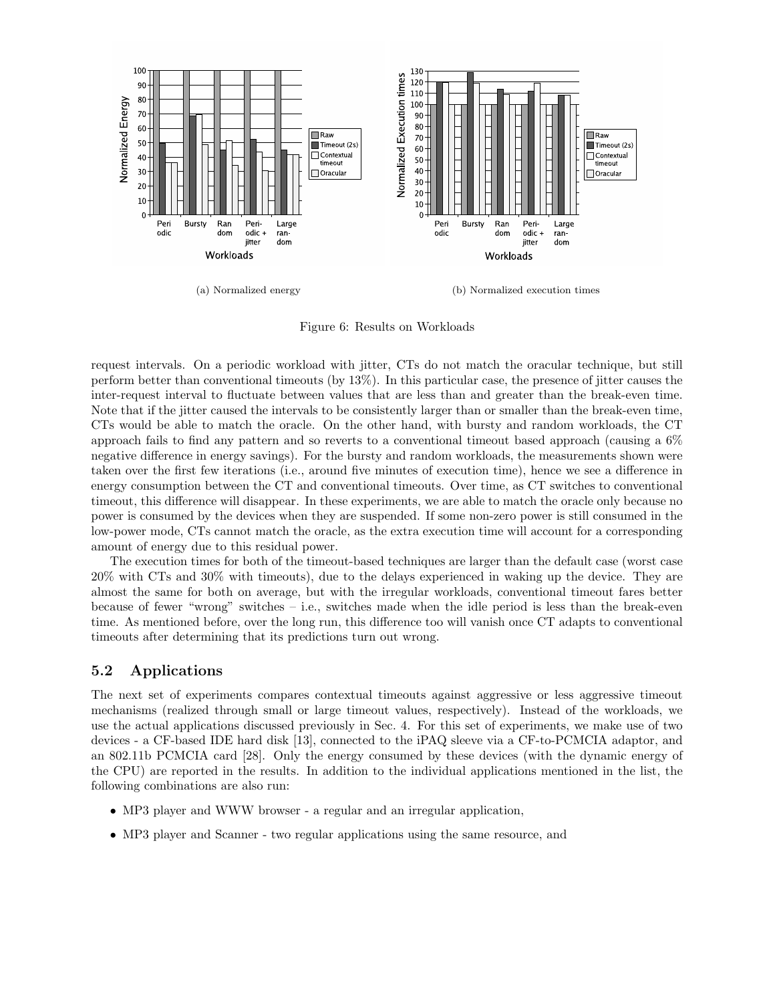

(a) Normalized energy (b) Normalized execution times

Figure 6: Results on Workloads

request intervals. On a periodic workload with jitter, CTs do not match the oracular technique, but still perform better than conventional timeouts (by 13%). In this particular case, the presence of jitter causes the inter-request interval to fluctuate between values that are less than and greater than the break-even time. Note that if the jitter caused the intervals to be consistently larger than or smaller than the break-even time, CTs would be able to match the oracle. On the other hand, with bursty and random workloads, the CT approach fails to find any pattern and so reverts to a conventional timeout based approach (causing a 6% negative difference in energy savings). For the bursty and random workloads, the measurements shown were taken over the first few iterations (i.e., around five minutes of execution time), hence we see a difference in energy consumption between the CT and conventional timeouts. Over time, as CT switches to conventional timeout, this difference will disappear. In these experiments, we are able to match the oracle only because no power is consumed by the devices when they are suspended. If some non-zero power is still consumed in the low-power mode, CTs cannot match the oracle, as the extra execution time will account for a corresponding amount of energy due to this residual power.

The execution times for both of the timeout-based techniques are larger than the default case (worst case 20% with CTs and 30% with timeouts), due to the delays experienced in waking up the device. They are almost the same for both on average, but with the irregular workloads, conventional timeout fares better because of fewer "wrong" switches – i.e., switches made when the idle period is less than the break-even time. As mentioned before, over the long run, this difference too will vanish once CT adapts to conventional timeouts after determining that its predictions turn out wrong.

### 5.2 Applications

The next set of experiments compares contextual timeouts against aggressive or less aggressive timeout mechanisms (realized through small or large timeout values, respectively). Instead of the workloads, we use the actual applications discussed previously in Sec. 4. For this set of experiments, we make use of two devices - a CF-based IDE hard disk [13], connected to the iPAQ sleeve via a CF-to-PCMCIA adaptor, and an 802.11b PCMCIA card [28]. Only the energy consumed by these devices (with the dynamic energy of the CPU) are reported in the results. In addition to the individual applications mentioned in the list, the following combinations are also run:

- MP3 player and WWW browser a regular and an irregular application,
- MP3 player and Scanner two regular applications using the same resource, and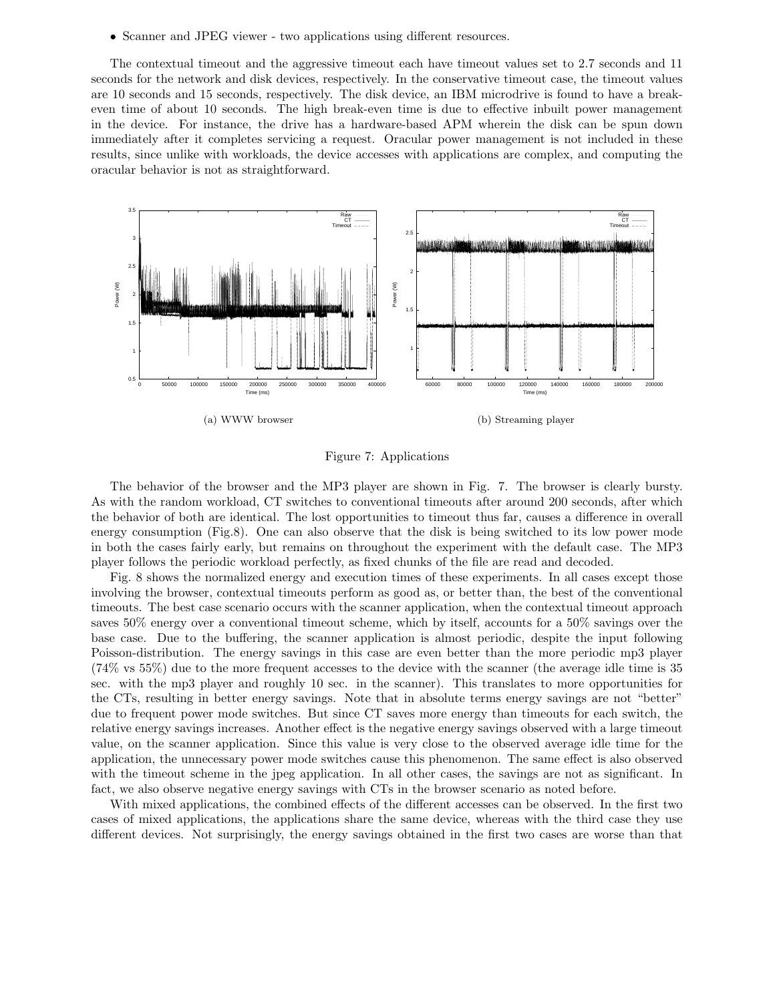• Scanner and JPEG viewer - two applications using different resources.

The contextual timeout and the aggressive timeout each have timeout values set to 2.7 seconds and 11 seconds for the network and disk devices, respectively. In the conservative timeout case, the timeout values are 10 seconds and 15 seconds, respectively. The disk device, an IBM microdrive is found to have a breakeven time of about 10 seconds. The high break-even time is due to effective inbuilt power management in the device. For instance, the drive has a hardware-based APM wherein the disk can be spun down immediately after it completes servicing a request. Oracular power management is not included in these results, since unlike with workloads, the device accesses with applications are complex, and computing the oracular behavior is not as straightforward.



Figure 7: Applications

The behavior of the browser and the MP3 player are shown in Fig. 7. The browser is clearly bursty. As with the random workload, CT switches to conventional timeouts after around 200 seconds, after which the behavior of both are identical. The lost opportunities to timeout thus far, causes a difference in overall energy consumption (Fig.8). One can also observe that the disk is being switched to its low power mode in both the cases fairly early, but remains on throughout the experiment with the default case. The MP3 player follows the periodic workload perfectly, as fixed chunks of the file are read and decoded.

Fig. 8 shows the normalized energy and execution times of these experiments. In all cases except those involving the browser, contextual timeouts perform as good as, or better than, the best of the conventional timeouts. The best case scenario occurs with the scanner application, when the contextual timeout approach saves 50% energy over a conventional timeout scheme, which by itself, accounts for a 50% savings over the base case. Due to the buffering, the scanner application is almost periodic, despite the input following Poisson-distribution. The energy savings in this case are even better than the more periodic mp3 player (74% vs 55%) due to the more frequent accesses to the device with the scanner (the average idle time is 35 sec. with the mp3 player and roughly 10 sec. in the scanner). This translates to more opportunities for the CTs, resulting in better energy savings. Note that in absolute terms energy savings are not "better" due to frequent power mode switches. But since CT saves more energy than timeouts for each switch, the relative energy savings increases. Another effect is the negative energy savings observed with a large timeout value, on the scanner application. Since this value is very close to the observed average idle time for the application, the unnecessary power mode switches cause this phenomenon. The same effect is also observed with the timeout scheme in the jpeg application. In all other cases, the savings are not as significant. In fact, we also observe negative energy savings with CTs in the browser scenario as noted before.

With mixed applications, the combined effects of the different accesses can be observed. In the first two cases of mixed applications, the applications share the same device, whereas with the third case they use different devices. Not surprisingly, the energy savings obtained in the first two cases are worse than that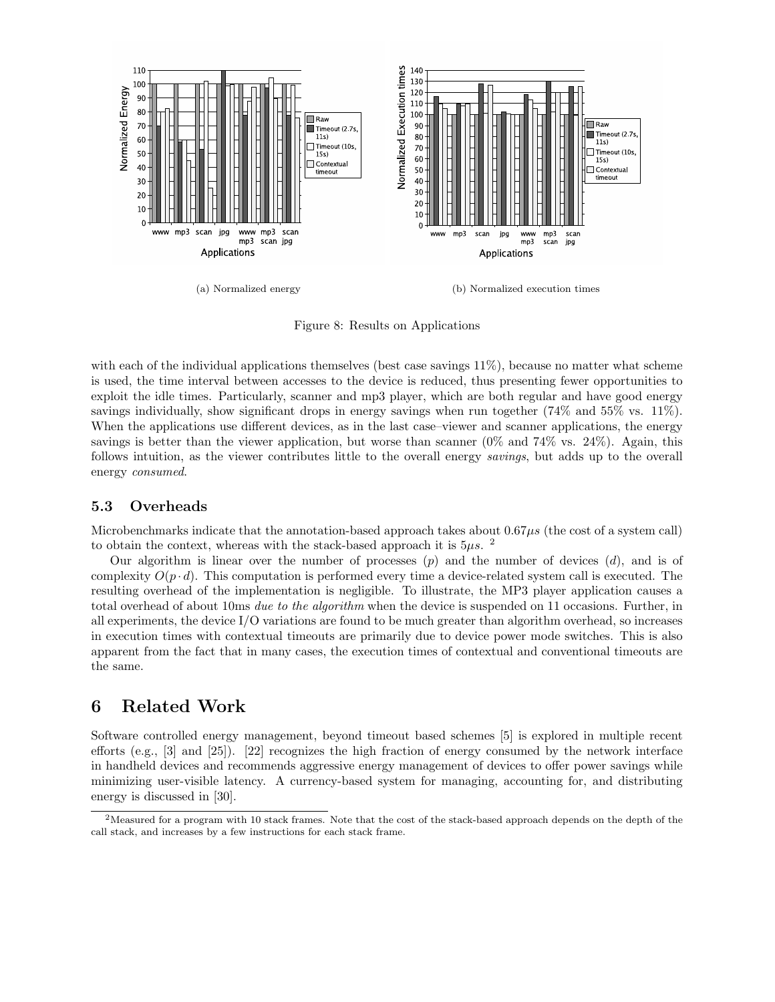

(a) Normalized energy (b) Normalized execution times

Figure 8: Results on Applications

with each of the individual applications themselves (best case savings 11%), because no matter what scheme is used, the time interval between accesses to the device is reduced, thus presenting fewer opportunities to exploit the idle times. Particularly, scanner and mp3 player, which are both regular and have good energy savings individually, show significant drops in energy savings when run together (74% and 55% vs. 11%). When the applications use different devices, as in the last case–viewer and scanner applications, the energy savings is better than the viewer application, but worse than scanner (0% and 74% vs. 24%). Again, this follows intuition, as the viewer contributes little to the overall energy savings, but adds up to the overall energy consumed.

#### 5.3 Overheads

Microbenchmarks indicate that the annotation-based approach takes about  $0.67\mu s$  (the cost of a system call) to obtain the context, whereas with the stack-based approach it is  $5\mu s$ .

Our algorithm is linear over the number of processes  $(p)$  and the number of devices  $(d)$ , and is of complexity  $O(p \cdot d)$ . This computation is performed every time a device-related system call is executed. The resulting overhead of the implementation is negligible. To illustrate, the MP3 player application causes a total overhead of about 10ms due to the algorithm when the device is suspended on 11 occasions. Further, in all experiments, the device I/O variations are found to be much greater than algorithm overhead, so increases in execution times with contextual timeouts are primarily due to device power mode switches. This is also apparent from the fact that in many cases, the execution times of contextual and conventional timeouts are the same.

## 6 Related Work

Software controlled energy management, beyond timeout based schemes [5] is explored in multiple recent efforts (e.g., [3] and [25]). [22] recognizes the high fraction of energy consumed by the network interface in handheld devices and recommends aggressive energy management of devices to offer power savings while minimizing user-visible latency. A currency-based system for managing, accounting for, and distributing energy is discussed in [30].

<sup>2</sup>Measured for a program with 10 stack frames. Note that the cost of the stack-based approach depends on the depth of the call stack, and increases by a few instructions for each stack frame.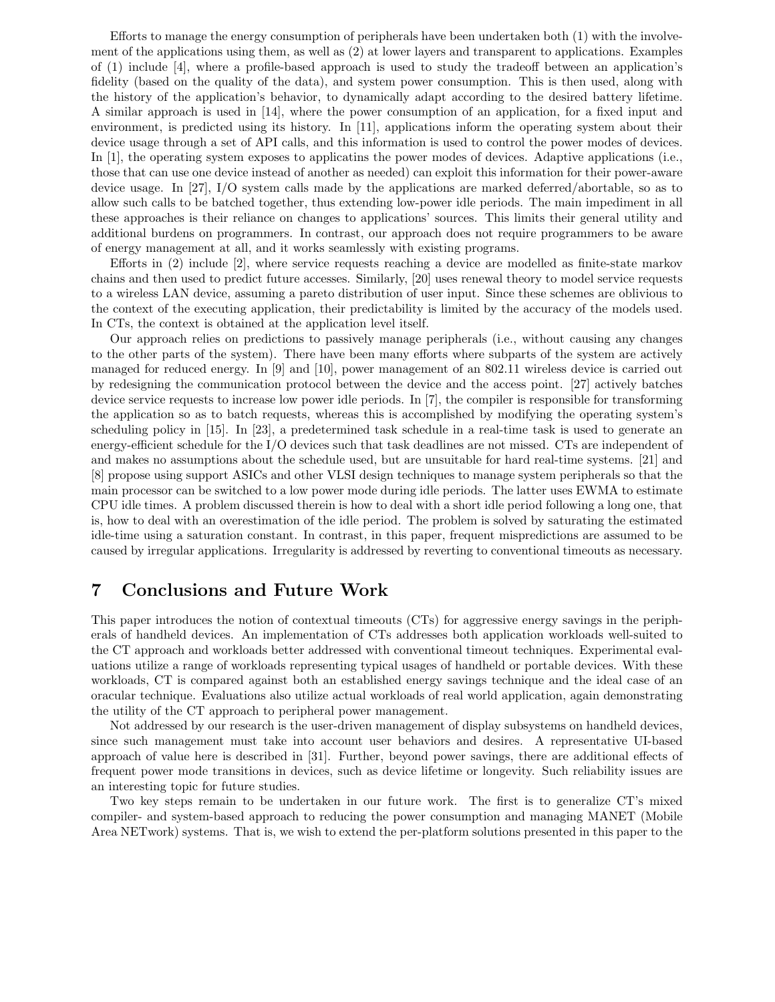Efforts to manage the energy consumption of peripherals have been undertaken both (1) with the involvement of the applications using them, as well as (2) at lower layers and transparent to applications. Examples of (1) include [4], where a profile-based approach is used to study the tradeoff between an application's fidelity (based on the quality of the data), and system power consumption. This is then used, along with the history of the application's behavior, to dynamically adapt according to the desired battery lifetime. A similar approach is used in [14], where the power consumption of an application, for a fixed input and environment, is predicted using its history. In [11], applications inform the operating system about their device usage through a set of API calls, and this information is used to control the power modes of devices. In [1], the operating system exposes to applicatins the power modes of devices. Adaptive applications (i.e., those that can use one device instead of another as needed) can exploit this information for their power-aware device usage. In [27], I/O system calls made by the applications are marked deferred/abortable, so as to allow such calls to be batched together, thus extending low-power idle periods. The main impediment in all these approaches is their reliance on changes to applications' sources. This limits their general utility and additional burdens on programmers. In contrast, our approach does not require programmers to be aware of energy management at all, and it works seamlessly with existing programs.

Efforts in (2) include [2], where service requests reaching a device are modelled as finite-state markov chains and then used to predict future accesses. Similarly, [20] uses renewal theory to model service requests to a wireless LAN device, assuming a pareto distribution of user input. Since these schemes are oblivious to the context of the executing application, their predictability is limited by the accuracy of the models used. In CTs, the context is obtained at the application level itself.

Our approach relies on predictions to passively manage peripherals (i.e., without causing any changes to the other parts of the system). There have been many efforts where subparts of the system are actively managed for reduced energy. In [9] and [10], power management of an 802.11 wireless device is carried out by redesigning the communication protocol between the device and the access point. [27] actively batches device service requests to increase low power idle periods. In [7], the compiler is responsible for transforming the application so as to batch requests, whereas this is accomplished by modifying the operating system's scheduling policy in [15]. In [23], a predetermined task schedule in a real-time task is used to generate an energy-efficient schedule for the I/O devices such that task deadlines are not missed. CTs are independent of and makes no assumptions about the schedule used, but are unsuitable for hard real-time systems. [21] and [8] propose using support ASICs and other VLSI design techniques to manage system peripherals so that the main processor can be switched to a low power mode during idle periods. The latter uses EWMA to estimate CPU idle times. A problem discussed therein is how to deal with a short idle period following a long one, that is, how to deal with an overestimation of the idle period. The problem is solved by saturating the estimated idle-time using a saturation constant. In contrast, in this paper, frequent mispredictions are assumed to be caused by irregular applications. Irregularity is addressed by reverting to conventional timeouts as necessary.

### 7 Conclusions and Future Work

This paper introduces the notion of contextual timeouts (CTs) for aggressive energy savings in the peripherals of handheld devices. An implementation of CTs addresses both application workloads well-suited to the CT approach and workloads better addressed with conventional timeout techniques. Experimental evaluations utilize a range of workloads representing typical usages of handheld or portable devices. With these workloads, CT is compared against both an established energy savings technique and the ideal case of an oracular technique. Evaluations also utilize actual workloads of real world application, again demonstrating the utility of the CT approach to peripheral power management.

Not addressed by our research is the user-driven management of display subsystems on handheld devices, since such management must take into account user behaviors and desires. A representative UI-based approach of value here is described in [31]. Further, beyond power savings, there are additional effects of frequent power mode transitions in devices, such as device lifetime or longevity. Such reliability issues are an interesting topic for future studies.

Two key steps remain to be undertaken in our future work. The first is to generalize CT's mixed compiler- and system-based approach to reducing the power consumption and managing MANET (Mobile Area NETwork) systems. That is, we wish to extend the per-platform solutions presented in this paper to the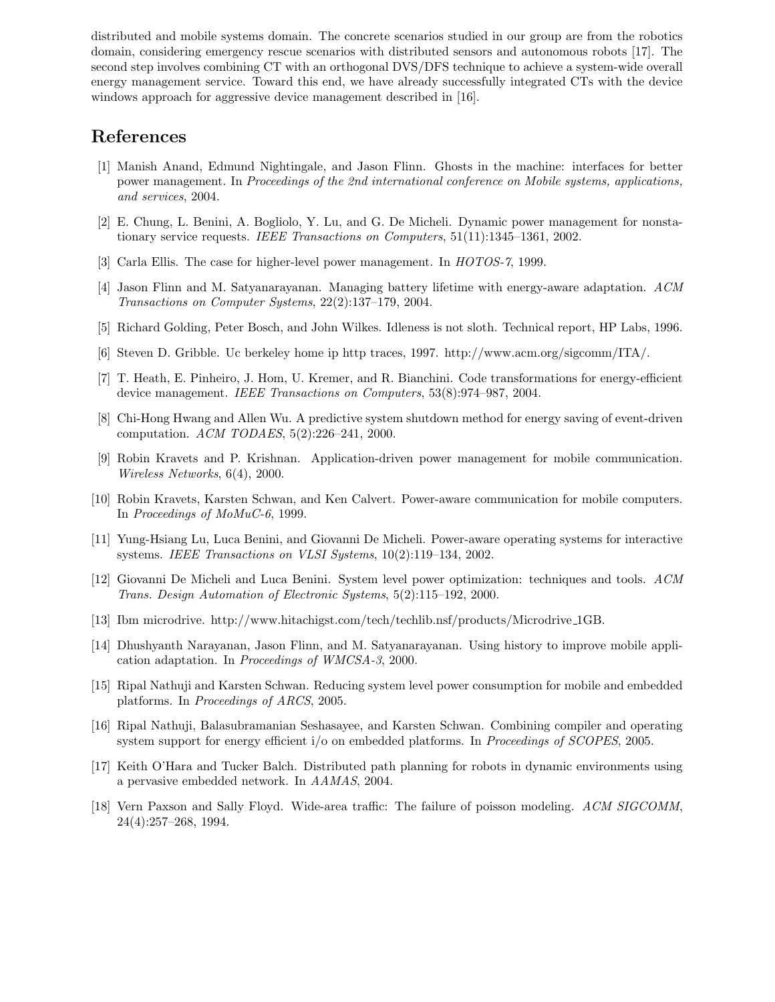distributed and mobile systems domain. The concrete scenarios studied in our group are from the robotics domain, considering emergency rescue scenarios with distributed sensors and autonomous robots [17]. The second step involves combining CT with an orthogonal DVS/DFS technique to achieve a system-wide overall energy management service. Toward this end, we have already successfully integrated CTs with the device windows approach for aggressive device management described in [16].

## References

- [1] Manish Anand, Edmund Nightingale, and Jason Flinn. Ghosts in the machine: interfaces for better power management. In Proceedings of the 2nd international conference on Mobile systems, applications, and services, 2004.
- [2] E. Chung, L. Benini, A. Bogliolo, Y. Lu, and G. De Micheli. Dynamic power management for nonstationary service requests. IEEE Transactions on Computers, 51(11):1345-1361, 2002.
- [3] Carla Ellis. The case for higher-level power management. In HOTOS-7, 1999.
- [4] Jason Flinn and M. Satyanarayanan. Managing battery lifetime with energy-aware adaptation. ACM Transactions on Computer Systems, 22(2):137–179, 2004.
- [5] Richard Golding, Peter Bosch, and John Wilkes. Idleness is not sloth. Technical report, HP Labs, 1996.
- [6] Steven D. Gribble. Uc berkeley home ip http traces, 1997. http://www.acm.org/sigcomm/ITA/.
- [7] T. Heath, E. Pinheiro, J. Hom, U. Kremer, and R. Bianchini. Code transformations for energy-efficient device management. IEEE Transactions on Computers, 53(8):974–987, 2004.
- [8] Chi-Hong Hwang and Allen Wu. A predictive system shutdown method for energy saving of event-driven computation. ACM TODAES, 5(2):226–241, 2000.
- [9] Robin Kravets and P. Krishnan. Application-driven power management for mobile communication. Wireless Networks, 6(4), 2000.
- [10] Robin Kravets, Karsten Schwan, and Ken Calvert. Power-aware communication for mobile computers. In Proceedings of MoMuC-6, 1999.
- [11] Yung-Hsiang Lu, Luca Benini, and Giovanni De Micheli. Power-aware operating systems for interactive systems. IEEE Transactions on VLSI Systems, 10(2):119–134, 2002.
- [12] Giovanni De Micheli and Luca Benini. System level power optimization: techniques and tools. ACM Trans. Design Automation of Electronic Systems, 5(2):115–192, 2000.
- [13] Ibm microdrive. http://www.hitachigst.com/tech/techlib.nsf/products/Microdrive 1GB.
- [14] Dhushyanth Narayanan, Jason Flinn, and M. Satyanarayanan. Using history to improve mobile application adaptation. In Proceedings of WMCSA-3, 2000.
- [15] Ripal Nathuji and Karsten Schwan. Reducing system level power consumption for mobile and embedded platforms. In Proceedings of ARCS, 2005.
- [16] Ripal Nathuji, Balasubramanian Seshasayee, and Karsten Schwan. Combining compiler and operating system support for energy efficient i/o on embedded platforms. In Proceedings of SCOPES, 2005.
- [17] Keith O'Hara and Tucker Balch. Distributed path planning for robots in dynamic environments using a pervasive embedded network. In AAMAS, 2004.
- [18] Vern Paxson and Sally Floyd. Wide-area traffic: The failure of poisson modeling. ACM SIGCOMM, 24(4):257–268, 1994.